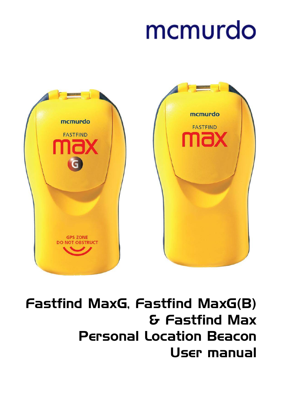# mcmurdo



# Fastfind MaxG, Fastfind MaxG(B) & Fastfind Max Personal Location Beacon User manual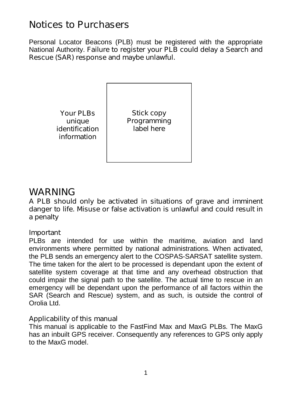## **Notices to Purchasers**

Personal Locator Beacons (PLB) must be registered with the appropriate National Authority. **Failure to register your PLB could delay a Search and Rescue (SAR) response and maybe unlawful.**

> **Your PLBs unique identification information**

**Stick copy Programming label here**

## **WARNING**

**A PLB should only be activated in situations of grave and imminent danger to life. Misuse or false activation is unlawful and could result in a penalty**

## **Important**

PLBs are intended for use within the maritime, aviation and land environments where permitted by national administrations. When activated, the PLB sends an emergency alert to the COSPAS-SARSAT satellite system. The time taken for the alert to be processed is dependant upon the extent of satellite system coverage at that time and any overhead obstruction that could impair the signal path to the satellite. The actual time to rescue in an emergency will be dependant upon the performance of all factors within the SAR (Search and Rescue) system, and as such, is outside the control of Orolia Ltd.

#### **Applicability of this manual**

This manual is applicable to the FastFind Max and MaxG PLBs. The MaxG has an inbuilt GPS receiver. Consequently any references to GPS only apply to the MaxG model.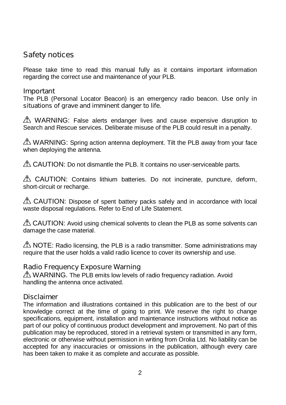## **Safety notices**

Please take time to read this manual fully as it contains important information regarding the correct use and maintenance of your PLB.

#### **Important**

The PLB (Personal Locator Beacon) is an emergency radio beacon. **Use only in situations of grave and imminent danger to life**.

 $\triangle$  WARNING: False alerts endanger lives and cause expensive disruption to Search and Rescue services. Deliberate misuse of the PLB could result in a penalty.

MARNING: Spring action antenna deployment. Tilt the PLB away from your face when deploying the antenna.

A CAUTION: Do not dismantle the PLB. It contains no user-serviceable parts.

A CAUTION: Contains lithium batteries. Do not incinerate, puncture, deform, short-circuit or recharge.

 $\triangle$  CAUTION: Dispose of spent battery packs safely and in accordance with local waste disposal regulations. Refer to End of Life Statement.

 $\triangle$  CAUTION: Avoid using chemical solvents to clean the PLB as some solvents can damage the case material.

 $\triangle$  NOTE: Radio licensing, the PLB is a radio transmitter. Some administrations may require that the user holds a valid radio licence to cover its ownership and use.

## **Radio Frequency Exposure Warning**

 $\triangle$  WARNING. The PLB emits low levels of radio frequency radiation. Avoid handling the antenna once activated.

#### **Disclaimer**

The information and illustrations contained in this publication are to the best of our knowledge correct at the time of going to print. We reserve the right to change specifications, equipment, installation and maintenance instructions without notice as part of our policy of continuous product development and improvement. No part of this publication may be reproduced, stored in a retrieval system or transmitted in any form, electronic or otherwise without permission in writing from Orolia Ltd. No liability can be accepted for any inaccuracies or omissions in the publication, although every care has been taken to make it as complete and accurate as possible.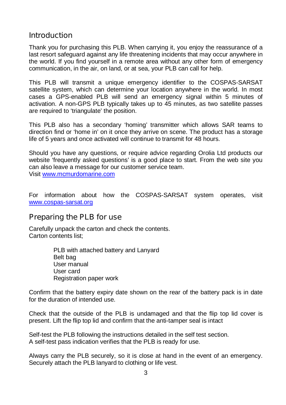## **Introduction**

Thank you for purchasing this PLB. When carrying it, you enjoy the reassurance of a last resort safeguard against any life threatening incidents that may occur anywhere in the world. If you find yourself in a remote area without any other form of emergency communication, in the air, on land, or at sea, your PLB can call for help.

This PLB will transmit a unique emergency identifier to the COSPAS-SARSAT satellite system, which can determine your location anywhere in the world. In most cases a GPS-enabled PLB will send an emergency signal within 5 minutes of activation. A non-GPS PLB typically takes up to 45 minutes, as two satellite passes are required to 'triangulate' the position.

This PLB also has a secondary 'homing' transmitter which allows SAR teams to direction find or 'home in' on it once they arrive on scene. The product has a storage life of 5 years and once activated will continue to transmit for 48 hours.

Should you have any questions, or require advice regarding Orolia Ltd products our website 'frequently asked questions' is a good place to start. From the web site you can also leave a message for our customer service team. Visit <www.mcmurdomarine.com>

For information about how the COSPAS-SARSAT system operates, visit <www.cospas>-sarsat.org

## **Preparing the PLB for use**

Carefully unpack the carton and check the contents. Carton contents list;

> PLB with attached battery and Lanyard Belt bag User manual User card Registration paper work

Confirm that the battery expiry date shown on the rear of the battery pack is in date for the duration of intended use.

Check that the outside of the PLB is undamaged and that the flip top lid cover is present. Lift the flip top lid and confirm that the anti-tamper seal is intact

Self-test the PLB following the instructions detailed in the self test section. A self-test pass indication verifies that the PLB is ready for use.

Always carry the PLB securely, so it is close at hand in the event of an emergency. Securely attach the PLB lanyard to clothing or life vest.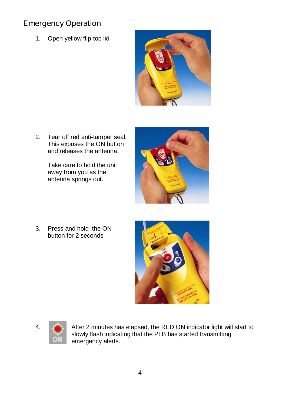## **Emergency Operation**

1. Open yellow flip-top lid



2. Tear off red anti-tamper seal. This exposes the ON button and releases the antenna.

> Take care to hold the unit away from you as the antenna springs out.



3. Press and hold the ON button for 2 seconds





4. After 2 minutes has elapsed, the RED ON indicator light will start to slowly flash indicating that the PLB has started transmitting emergency alerts.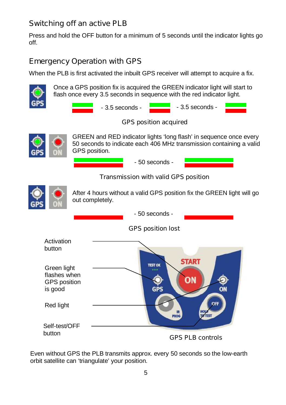## **Switching off an active PLB**

Press and hold the OFF button for a minimum of 5 seconds until the indicator lights go off.

## **Emergency Operation with GPS**

When the PLB is first activated the inbuilt GPS receiver will attempt to acquire a fix.



Once a GPS position fix is acquired the GREEN indicator light will start to flash once every 3.5 seconds in sequence with the red indicator light.



## *GPS position acquired*



GREEN and RED indicator lights 'long flash' in sequence once every 50 seconds to indicate each 406 MHz transmission containing a valid GPS position.

- 50 seconds -

#### *Transmission with valid GPS position*



After 4 hours without a valid GPS position fix the GREEN light will go out completely.



Even without GPS the PLB transmits approx. every 50 seconds so the low-earth orbit satellite can 'triangulate' your position.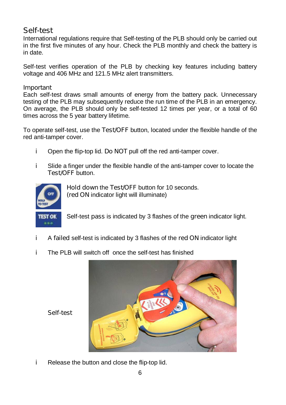## **Self-test**

International regulations require that Self-testing of the PLB should only be carried out in the first five minutes of any hour. Check the PLB monthly and check the battery is in date.

Self-test verifies operation of the PLB by checking key features including battery voltage and 406 MHz and 121.5 MHz alert transmitters.

#### **Important**

Each self-test draws small amounts of energy from the battery pack. Unnecessary testing of the PLB may subsequently reduce the run time of the PLB in an emergency. On average, the PLB should only be self-tested 12 times per year, or a total of 60 times across the 5 year battery lifetime.

To operate self-test, use the **Test/OFF** button, located under the flexible handle of the red anti-tamper cover.

- i. Open the flip-top lid. **Do NOT** pull off the red anti-tamper cover.
- i. Slide a finger under the flexible handle of the anti-tamper cover to locate the **Test/OFF** button.



**Hold down** the **Test/OFF** button for 10 seconds. **(red ON** indicator light will illuminate)

Self-test **pass** is indicated by 3 flashes of the **green** indicator light.

- i. A **failed** self-test is indicated by 3 flashes of the **red ON** indicator light
- The PLB will switch off once the self-test has finished i.



*Self-test*

i. Release the button and close the flip-top lid.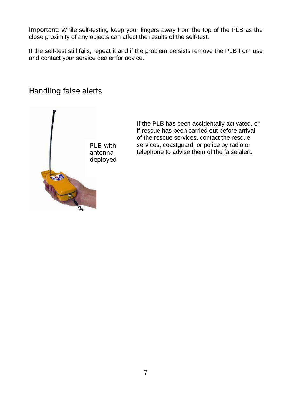**Important:** While self-testing keep your fingers away from the top of the PLB as the close proximity of any objects can affect the results of the self-test.

If the self-test still fails, repeat it and if the problem persists remove the PLB from use and contact your service dealer for advice.

## **Handling false alerts**



If the PLB has been accidentally activated, or if rescue has been carried out before arrival of the rescue services, contact the rescue services, coastguard, or police by radio or telephone to advise them of the false alert.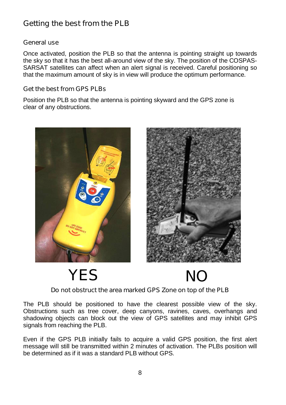## **Getting the best from the PLB**

#### **General use**

Once activated, position the PLB so that the antenna is pointing straight up towards the sky so that it has the best all-around view of the sky. The position of the COSPAS-SARSAT satellites can affect when an alert signal is received. Careful positioning so that the maximum amount of sky is in view will produce the optimum performance.

#### **Get the best from GPS PLBs**

Position the PLB so that the antenna is pointing skyward and the GPS zone is clear of any obstructions.





**YES NO**



#### **Do not obstruct the area marked GPS Zone on top of the PLB**

The PLB should be positioned to have the clearest possible view of the sky. Obstructions such as tree cover, deep canyons, ravines, caves, overhangs and shadowing objects can block out the view of GPS satellites and may inhibit GPS signals from reaching the PLB.

Even if the GPS PLB initially fails to acquire a valid GPS position, the first alert message will still be transmitted within 2 minutes of activation. The PLBs position will be determined as if it was a standard PLB without GPS.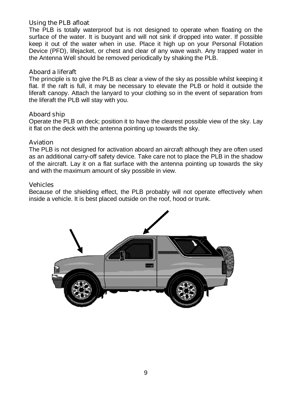#### **Using the PLB afloat**

The PLB is totally waterproof but is not designed to operate when floating on the surface of the water. It is buoyant and will not sink if dropped into water. If possible keep it out of the water when in use. Place it high up on your Personal Flotation Device (PFD), lifejacket, or chest and clear of any wave wash. Any trapped water in the Antenna Well should be removed periodically by shaking the PLB.

#### **Aboard a liferaft**

The principle is to give the PLB as clear a view of the sky as possible whilst keeping it flat. If the raft is full, it may be necessary to elevate the PLB or hold it outside the liferaft canopy. Attach the lanyard to your clothing so in the event of separation from the liferaft the PLB will stay with you.

#### **Aboard ship**

Operate the PLB on deck; position it to have the clearest possible view of the sky. Lay it flat on the deck with the antenna pointing up towards the sky.

#### **Aviation**

The PLB is not designed for activation aboard an aircraft although they are often used as an additional carry-off safety device. Take care not to place the PLB in the shadow of the aircraft. Lay it on a flat surface with the antenna pointing up towards the sky and with the maximum amount of sky possible in view.

#### **Vehicles**

Because of the shielding effect, the PLB probably will not operate effectively when inside a vehicle. It is best placed outside on the roof, hood or trunk.

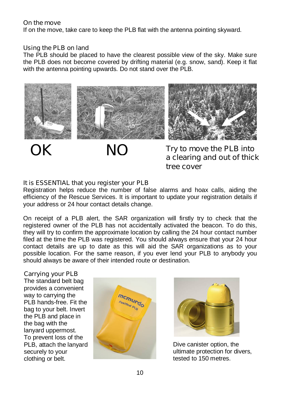#### **On the move**

If on the move, take care to keep the PLB flat with the antenna pointing skyward.

#### **Using the PLB on land**

The PLB should be placed to have the clearest possible view of the sky. Make sure the PLB does not become covered by drifting material (e.g. snow, sand). Keep it flat with the antenna pointing upwards. Do not stand over the PLB.



**Try to move the PLB into a clearing and out of thick tree cover**

#### **It is ESSENTIAL that you register your PLB**

Registration helps reduce the number of false alarms and hoax calls, aiding the efficiency of the Rescue Services. It is important to update your registration details if your address or 24 hour contact details change.

On receipt of a PLB alert, the SAR organization will firstly try to check that the registered owner of the PLB has not accidentally activated the beacon. To do this, they will try to confirm the approximate location by calling the 24 hour contact number filed at the time the PLB was registered. You should always ensure that your 24 hour contact details are up to date as this will aid the SAR organizations as to your possible location. For the same reason, if you ever lend your PLB to anybody you should always be aware of their intended route or destination.

#### **Carrying your PLB**

The standard belt bag provides a convenient way to carrying the PLB hands-free. Fit the bag to your belt. Invert the PLB and place in the bag with the lanyard uppermost. To prevent loss of the PLB, attach the lanyard securely to your clothing or belt.





Dive canister option, the ultimate protection for divers, tested to 150 metres.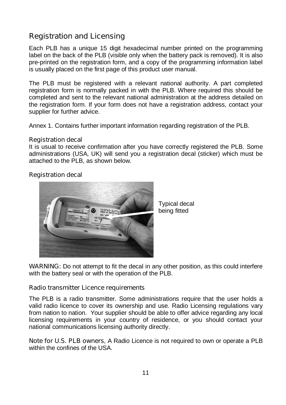## **Registration and Licensing**

Each PLB has a unique 15 digit hexadecimal number printed on the programming label on the back of the PLB (visible only when the battery pack is removed). It is also pre-printed on the registration form, and a copy of the programming information label is usually placed on the first page of this product user manual.

The PLB must be registered with a relevant national authority. A part completed registration form is normally packed in with the PLB. Where required this should be completed and sent to the relevant national administration at the address detailed on the registration form. If your form does not have a registration address, contact your supplier for further advice.

Annex 1. Contains further important information regarding registration of the PLB.

#### **Registration decal**

It is usual to receive confirmation after you have correctly registered the PLB. Some administrations (USA, UK) will send you a registration decal (sticker) which must be attached to the PLB, as shown below.

#### **Registration decal**



Typical decal being fitted

**WARNING:** Do not attempt to fit the decal in any other position, as this could interfere with the battery seal or with the operation of the PLB.

#### **Radio transmitter Licence requirements**

The PLB is a radio transmitter. Some administrations require that the user holds a valid radio licence to cover its ownership and use. Radio Licensing regulations vary from nation to nation. Your supplier should be able to offer advice regarding any local licensing requirements in your country of residence, or you should contact your national communications licensing authority directly.

**Note for U.S. PLB owners**, A Radio Licence is not required to own or operate a PLB within the confines of the USA.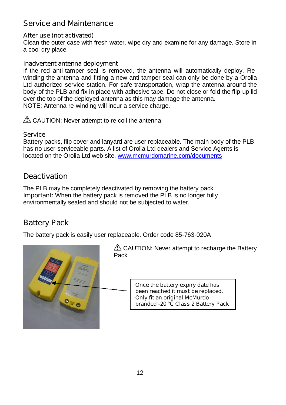## **Service and Maintenance**

#### **After use (not activated)**

Clean the outer case with fresh water, wipe dry and examine for any damage. Store in a cool dry place.

#### **Inadvertent antenna deployment**

If the red anti-tamper seal is removed, the antenna will automatically deploy. Rewinding the antenna and fitting a new anti-tamper seal can only be done by a Orolia Ltd authorized service station. For safe transportation, wrap the antenna around the body of the PLB and fix in place with adhesive tape. Do not close or fold the flip-up lid over the top of the deployed antenna as this may damage the antenna. NOTE: Antenna re-winding will incur a service charge.

 $\triangle$  CAUTION: Never attempt to re coil the antenna

#### **Service**

Battery packs, flip cover and lanyard are user replaceable. The main body of the PLB has no user-serviceable parts. A list of Orolia Ltd dealers and Service Agents is located on the Orolia Ltd web site, <www.mcmurdomarine.com/documents>

## **Deactivation**

The PLB may be completely deactivated by removing the battery pack. **Important:** When the battery pack is removed the PLB is no longer fully environmentally sealed and should not be subjected to water.

## **Battery Pack**

The battery pack is easily user replaceable. Order code 85-763-020A

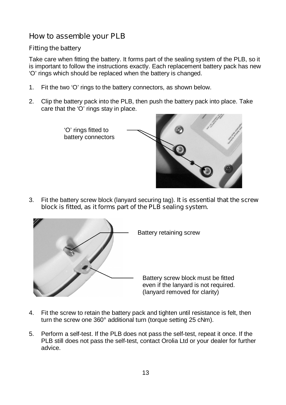## **How to assemble your PLB**

#### **Fitting the battery**

Take care when fitting the battery. It forms part of the sealing system of the PLB, so it is important to follow the instructions exactly. Each replacement battery pack has new 'O' rings which should be replaced when the battery is changed.

- 1. Fit the two 'O' rings to the battery connectors, as shown below.
- 2. Clip the battery pack into the PLB, then push the battery pack into place. Take care that the 'O' rings stay in place.



3. Fit the battery screw block (lanyard securing tag). **It is essential that the screw block is fitted, as it forms part of the PLB sealing system.**



- 4. Fit the screw to retain the battery pack and tighten until resistance is felt, then turn the screw one 360° additional turn (torque setting 25 cNm).
- 5. Perform a self-test. If the PLB does not pass the self-test, repeat it once. If the PLB still does not pass the self-test, contact Orolia Ltd or your dealer for further advice.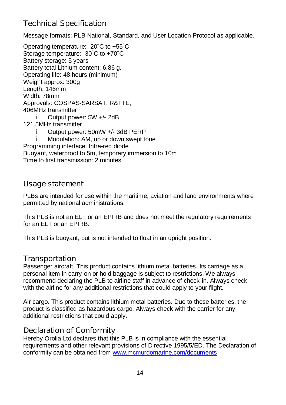## **Technical Specification**

Message formats: PLB National, Standard, and User Location Protocol as applicable.

Operating temperature: -20˚C to +55˚C, Storage temperature: -30°C to +70°C Battery storage: 5 years Battery total Lithium content: 6.86 g. Operating life: 48 hours (minimum) Weight approx: 300g Length: 146mm Width: 78mm Approvals: COSPAS-SARSAT, R&TTE, 406MHz transmitter Output power: 5W +/- 2dB i. 121.5MHz transmitter Output power: 50mW +/- 3dB PERP i. Modulation: AM, up or down swept tone Programming interface: Infra-red diode Buoyant, waterproof to 5m, temporary immersion to 10m

Time to first transmission: 2 minutes

## **Usage statement**

PLBs are intended for use within the maritime, aviation and land environments where permitted by national administrations.

This PLB is not an ELT or an EPIRB and does not meet the regulatory requirements for an ELT or an EPIRB.

This PLB is buoyant, but is not intended to float in an upright position.

## **Transportation**

Passenger aircraft. This product contains lithium metal batteries. Its carriage as a personal item in carry-on or hold baggage is subject to restrictions. We always recommend declaring the PLB to airline staff in advance of check-in. Always check with the airline for any additional restrictions that could apply to your flight.

Air cargo. This product contains lithium metal batteries. Due to these batteries, the product is classified as hazardous cargo. Always check with the carrier for any additional restrictions that could apply.

## **Declaration of Conformity**

Hereby Orolia Ltd declares that this PLB is in compliance with the essential requirements and other relevant provisions of Directive 1995/5/ED. The Declaration of conformity can be obtained from <www.mcmurdomarine.com/documents>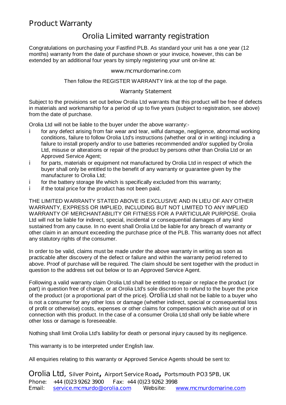## **Product Warranty**

## **Orolia Limited warranty registration**

Congratulations on purchasing your Fastfind PLB. As standard your unit has a one year (12 months) warranty from the date of purchase shown or your invoice, however, this can be extended by an additional four years by simply registering your unit on-line at:

#### **<www.mcmurdomarine.com>**

Then follow the REGISTER WARRANTY link at the top of the page.

#### **Warranty Statement**

Subject to the provisions set out below Orolia Ltd warrants that this product will be free of defects in materials and workmanship for a period of up to five years (subject to registration, see above) from the date of purchase.

Orolia Ltd will not be liable to the buyer under the above warranty:-

- i. for any defect arising from fair wear and tear, wilful damage, negligence, abnormal working conditions, failure to follow Orolia Ltd's instructions (whether oral or in writing) including a failure to install properly and/or to use batteries recommended and/or supplied by Orolia Ltd, misuse or alterations or repair of the product by persons other than Orolia Ltd or an Approved Service Agent;
- i. for parts, materials or equipment not manufactured by Orolia Ltd in respect of which the buyer shall only be entitled to the benefit of any warranty or guarantee given by the manufacturer to Orolia Ltd;
- j. for the battery storage life which is specifically excluded from this warranty;
- i if the total price for the product has not been paid.

THE LIMITED WARRANTY STATED ABOVE IS EXCLUSIVE AND IN LIEU OF ANY OTHER WARRANTY, EXPRESS OR IMPLIED, INCLUDING BUT NOT LIMITED TO ANY IMPLIED WARRANTY OF MERCHANTABILITY OR FITNESS FOR A PARTICULAR PURPOSE. Orolia Ltd will not be liable for indirect, special, incidental or consequential damages of any kind sustained from any cause. In no event shall Orolia Ltd be liable for any breach of warranty or other claim in an amount exceeding the purchase price of the PLB. This warranty does not affect any statutory rights of the consumer.

In order to be valid, claims must be made under the above warranty in writing as soon as practicable after discovery of the defect or failure and within the warranty period referred to above. Proof of purchase will be required. The claim should be sent together with the product in question to the address set out below or to an Approved Service Agent.

Following a valid warranty claim Orolia Ltd shall be entitled to repair or replace the product (or part) in question free of charge, or at Orolia Ltd's sole discretion to refund to the buyer the price of the product (or a proportional part of the price). **Orolia** Ltd shall not be liable to a buyer who is not a consumer for any other loss or damage (whether indirect, special or consequential loss of profit or otherwise) costs, expenses or other claims for compensation which arise out of or in connection with this product. In the case of a consumer Orolia Ltd shall only be liable where other loss or damage is foreseeable.

Nothing shall limit Orolia Ltd's liability for death or personal injury caused by its negligence.

This warranty is to be interpreted under English law.

All enquiries relating to this warranty or Approved Service Agents should be sent to:

**Orolia Ltd,** Silver Point, Airport Service Road, Portsmouth PO3 5PB, UK **Phone: +44 (0)23 9262 3900 Fax: +44 (0)23 9262 3998 Email: [service.mcmurdo@orolia.com](mailto:service.mcmurdo@orolia.com) Website: <www.mcmurdomarine.com>**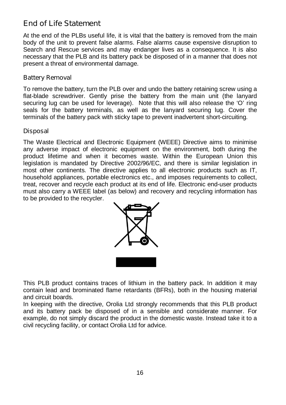## **End of Life Statement**

At the end of the PLBs useful life, it is vital that the battery is removed from the main body of the unit to prevent false alarms. False alarms cause expensive disruption to Search and Rescue services and may endanger lives as a consequence. It is also necessary that the PLB and its battery pack be disposed of in a manner that does not present a threat of environmental damage.

#### **Battery Removal**

To remove the battery, turn the PLB over and undo the battery retaining screw using a flat-blade screwdriver. Gently prise the battery from the main unit (the lanyard securing lug can be used for leverage). Note that this will also release the 'O' ring seals for the battery terminals, as well as the lanyard securing lug. Cover the terminals of the battery pack with sticky tape to prevent inadvertent short-circuiting.

#### **Disposal**

The Waste Electrical and Electronic Equipment (WEEE) Directive aims to minimise any adverse impact of electronic equipment on the environment, both during the product lifetime and when it becomes waste. Within the European Union this legislation is mandated by Directive 2002/96/EC, and there is similar legislation in most other continents. The directive applies to all electronic products such as IT, household appliances, portable electronics etc., and imposes requirements to collect, treat, recover and recycle each product at its end of life. Electronic end-user products must also carry a WEEE label (as below) and recovery and recycling information has to be provided to the recycler.



This PLB product contains traces of lithium in the battery pack. In addition it may contain lead and brominated flame retardants (BFRs), both in the housing material and circuit boards.

In keeping with the directive, Orolia Ltd strongly recommends that this PLB product and its battery pack be disposed of in a sensible and considerate manner. For example, do not simply discard the product in the domestic waste. Instead take it to a civil recycling facility, or contact Orolia Ltd for advice.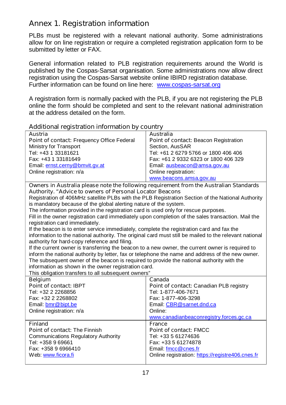## **Annex 1. Registration information**

PLBs must be registered with a relevant national authority. Some administrations allow for on line registration or require a completed registration application form to be submitted by letter or FAX.

General information related to PLB registration requirements around the World is published by the Cospas-Sarsat organisation. Some administrations now allow direct registration using the Cospas-Sarsat website online IBIRD registration database. Further information can be found on line here: [www.cospas-](www.cospas)sarsat.org

A registration form is normally packed with the PLB, if you are not registering the PLB online the form should be completed and sent to the relevant national administration at the address detailed on the form.

| Additional registration information by country                                                         |                                                  |
|--------------------------------------------------------------------------------------------------------|--------------------------------------------------|
| Austria                                                                                                | <b>Australia</b>                                 |
| Point of contact: Frequency Office Federal                                                             | Point of contact: Beacon Registration            |
| Ministry for Transport                                                                                 | Section, AusSAR                                  |
| Tel: +43 1 33181621                                                                                    | Tel: +61 2 6279 5766 or 1800 406 406             |
| Fax: +43 1 33181649                                                                                    | Fax: +61 2 9332 6323 or 1800 406 329             |
| Email: ernst.cerny@bmvit.gv.at                                                                         | Email: ausbeacon@amsa.gov.au                     |
| Online registration: n/a                                                                               | Online registration:                             |
|                                                                                                        | www.beacons.amsa.gov.au                          |
| Owners in Australia please note the following requirement from the Australian Standards                |                                                  |
| Authority. "Advice to owners of Personal Locator Beacons                                               |                                                  |
| Registration of 406MHz satellite PLBs with the PLB Registration Section of the National Authority      |                                                  |
| is mandatory because of the global alerting nature of the system.                                      |                                                  |
| The information provided in the registration card is used only for rescue purposes.                    |                                                  |
| Fill in the owner registration card immediately upon completion of the sales transaction. Mail the     |                                                  |
| registration card immediately.                                                                         |                                                  |
| If the beacon is to enter service immediately, complete the registration card and fax the              |                                                  |
| information to the national authority. The original card must still be mailed to the relevant national |                                                  |
| authority for hard-copy reference and filing.                                                          |                                                  |
| If the current owner is transferring the beacon to a new owner, the current owner is required to       |                                                  |
| inform the national authority by letter, fax or telephone the name and address of the new owner.       |                                                  |
| The subsequent owner of the beacon is required to provide the national authority with the              |                                                  |
| information as shown in the owner registration card.                                                   |                                                  |
| This obligation transfers to all subsequent owners"                                                    |                                                  |
| <b>Belgium</b>                                                                                         | Canada                                           |
| Point of contact: IBPT                                                                                 | Point of contact: Canadian PLB registry          |
| Tel: +32 2 2268856                                                                                     | Tel: 1-877-406-7671                              |
| Fax: +32 2 2268802                                                                                     | Fax: 1-877-406-3298                              |
| Email: bmr@bipt.be                                                                                     | Email: CBR@sarnet.dnd.ca                         |
| Online registration: n/a                                                                               | Online:                                          |
|                                                                                                        | www.canadianbeaconregistry.forces.gc.ca          |
| <b>Finland</b>                                                                                         | <b>France</b>                                    |
| <b>Point of contact: The Finnish</b>                                                                   | Point of contact: FMCC                           |
| <b>Communications Regulatory Authority</b>                                                             | Tel: +33 5 61274636                              |
| Tel: +358 9 69661                                                                                      | Fax: +33 5 61274878                              |
| Fax: +358 9 6966410                                                                                    | Email: fmcc@cnes.fr                              |
| Web: www.ficora.fi                                                                                     | Online registration: https://registre406.cnes.fr |
|                                                                                                        |                                                  |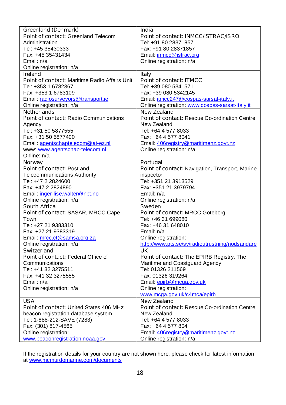| <b>Greenland (Denmark)</b>                           | India                                                |
|------------------------------------------------------|------------------------------------------------------|
| Point of contact: Greenland Telecom                  | Point of contact: INMCC/ISTRAC/ISRO                  |
| Administration                                       | Tel: +91 80 28371857                                 |
| Tel: +45 35430333                                    | Fax: +91 80 28371857                                 |
| Fax: +45 35431434                                    | Email: inmcc@istrac.org                              |
| Email: n/a                                           | Online registration: n/a                             |
| Online registration: n/a                             |                                                      |
| <b>Ireland</b>                                       | Italy                                                |
| <b>Point of contact: Maritime Radio Affairs Unit</b> | <b>Point of contact: ITMCC</b>                       |
| Tel: +353 1 6782367                                  | Tel: +39 080 5341571                                 |
| Fax: +353 1 6783109                                  | Fax: +39 080 5342145                                 |
| Email: radiosurveyors@transport.ie                   | Email: itmcc247@cospas-sarsat-italy.it               |
| Online registration: n/a                             | Online registration: www.cospas-sarsat-italy.it      |
| <b>Netherlands</b>                                   | <b>New Zealand</b>                                   |
| <b>Point of contact: Radio Communications</b>        | <b>Point of contact: Rescue Co-ordination Centre</b> |
| Agency                                               | New Zealand                                          |
| Tel: +31 50 5877555                                  | Tel: +64 4 577 8033                                  |
| Fax: +31 50 5877400                                  | Fax: +64 4 577 8041                                  |
| Email: agentschaptelecom@at-ez.nl                    | Email: 406registry@maritimenz.govt.nz                |
| www: www.agentschap-telecom.nl                       | Online registration: n/a                             |
| Online: n/a                                          |                                                      |
| Norway                                               | Portugal                                             |
| <b>Point of contact: Post and</b>                    | Point of contact: Navigation, Transport, Marine      |
| <b>Telecommunications Authority</b>                  | inspector                                            |
| Tel: +47 2 2824600                                   | Tel: +351 21 3913529                                 |
| Fax: +47 2 2824890                                   | Fax: +351 21 3979794                                 |
| Email: inger-lise.walter@npt.no                      | Email: n/a                                           |
| Online registration: n/a                             | Online registration: n/a                             |
| South Africa                                         | <b>Sweden</b>                                        |
| Point of contact: SASAR, MRCC Cape                   | <b>Point of contact: MRCC Goteborg</b>               |
| Town                                                 | Tel: +46 31 699080                                   |
| Tel: +27 21 9383310                                  | Fax: +46 31 648010                                   |
| Fax: +27 21 9383319                                  | Email: n/a                                           |
| Email: mrcc.ct@samsa.org.za                          | Online registration:                                 |
| Online registration: n/a                             | http://www.pts.se/sv/radioutrustning/nodsandare      |
| <b>Switzerland</b>                                   | UK                                                   |
| Point of contact: Federal Office of                  | Point of contact: The EPIRB Registry, The            |
| Communications                                       | Maritime and Coastguard Agency                       |
| Tel: +41 32 3275511                                  | Tel: 01326 211569                                    |
| Fax: +41 32 3275555                                  | Fax: 01326 319264                                    |
| Email: n/a                                           | Email: epirb@mcga.gov.uk                             |
| Online registration: n/a                             | Online registration:                                 |
|                                                      | www.mcga.gov.uk/c4mca/epirb                          |
| USA                                                  | New Zealand                                          |
| <b>Point of contact: United States 406 MHz</b>       | <b>Point of contact: Rescue Co-ordination Centre</b> |
| beacon registration database system                  | New Zealand                                          |
| Tel: 1-888-212-SAVE (7283)                           | Tel: +64 4 577 8033                                  |
| Fax: (301) 817-4565                                  | Fax: +64 4 577 804                                   |
| Online registration:                                 | Email: 406registry@maritimenz.govt.nz                |
| www.beaconregistration.noaa.gov                      | Online registration: n/a                             |

If the registration details for your country are not shown here, please check for latest information at <www.mcmurdomarine.com/documents>